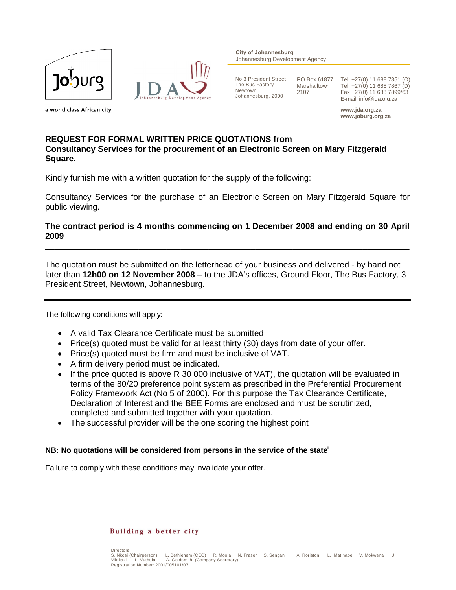



**City of Johannesburg** Johannesburg Development Agency

No 3 President Street The Bus Factory Newtown Johannesburg, 2000

PO Box 61877 Marshalltown 2107

Tel +27(0) 11 688 7851 (O) Tel +27(0) 11 688 7867 (D) Fax +27(0) 11 688 7899/63 E-mail: info@jda.org.za

**www.jda.org.za www.joburg.org.za**

a world class African city

# **REQUEST FOR FORMAL WRITTEN PRICE QUOTATIONS from Consultancy Services for the procurement of an Electronic Screen on Mary Fitzgerald Square.**

Kindly furnish me with a written quotation for the supply of the following:

Consultancy Services for the purchase of an Electronic Screen on Mary Fitzgerald Square for public viewing.

# **The contract period is 4 months commencing on 1 December 2008 and ending on 30 April 2009**

\_\_\_\_\_\_\_\_\_\_\_\_\_\_\_\_\_\_\_\_\_\_\_\_\_\_\_\_\_\_\_\_\_\_\_\_\_\_\_\_\_\_\_\_\_\_\_\_\_\_\_\_\_\_\_\_\_\_\_\_\_\_\_\_\_\_\_\_\_\_\_\_\_\_\_\_\_\_

The quotation must be submitted on the letterhead of your business and delivered - by hand not later than **12h00 on 12 November 2008** – to the JDA's offices, Ground Floor, The Bus Factory, 3 President Street, Newtown, Johannesburg.

The following conditions will apply:

- A valid Tax Clearance Certificate must be submitted
- Price(s) quoted must be valid for at least thirty (30) days from date of your offer.
- Price(s) quoted must be firm and must be inclusive of VAT.
- A firm delivery period must be indicated.
- If the price quoted is above R 30 000 inclusive of VAT), the quotation will be evaluated in terms of the 80/20 preference point system as prescribed in the Preferential Procurement Policy Framework Act (No 5 of 2000). For this purpose the Tax Clearance Certificate, Declaration of Interest and the BEE Forms are enclosed and must be scrutinized, completed and submitted together with your quotation.
- The successful provider will be the one scoring the highest point

# **NB: No quotations will be considered from persons in the service of the statei**

Failure to comply with these conditions may invalidate your offer.

#### Building a better city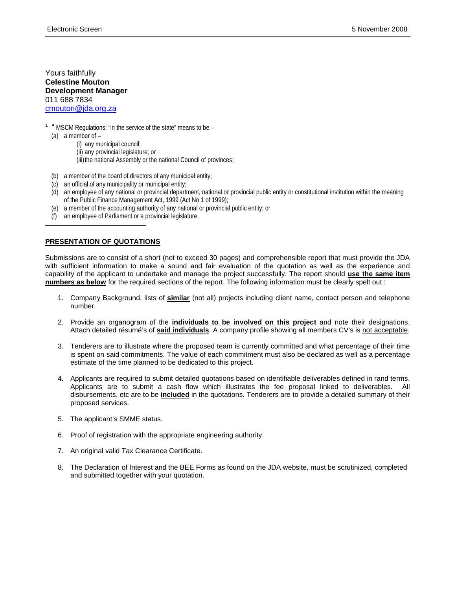Yours faithfully **Celestine Mouton Development Manager** 011 688 7834 cmouton@jda.org.za

 $1$  \* MSCM Regulations: "in the service of the state" means to be -

(a) a member of  $-$ 

-

(i) any municipal council; (ii) any provincial legislature; or (iii) the national Assembly or the national Council of provinces;

- (b) a member of the board of directors of any municipal entity;
- (c) an official of any municipality or municipal entity;
- (d) an employee of any national or provincial department, national or provincial public entity or constitutional institution within the meaning of the Public Finance Management Act, 1999 (Act No.1 of 1999);
- (e) a member of the accounting authority of any national or provincial public entity; or
- (f) an employee of Parliament or a provincial legislature.

### **PRESENTATION OF QUOTATIONS**

Submissions are to consist of a short (not to exceed 30 pages) and comprehensible report that must provide the JDA with sufficient information to make a sound and fair evaluation of the quotation as well as the experience and capability of the applicant to undertake and manage the project successfully. The report should **use the same item numbers as below** for the required sections of the report. The following information must be clearly spelt out :

- 1. Company Background, lists of **similar** (not all) projects including client name, contact person and telephone number.
- 2. Provide an organogram of the **individuals to be involved on this project** and note their designations. Attach detailed résumé's of **said individuals**. A company profile showing all members CV's is not acceptable.
- 3. Tenderers are to illustrate where the proposed team is currently committed and what percentage of their time is spent on said commitments. The value of each commitment must also be declared as well as a percentage estimate of the time planned to be dedicated to this project.
- 4. Applicants are required to submit detailed quotations based on identifiable deliverables defined in rand terms. Applicants are to submit a cash flow which illustrates the fee proposal linked to deliverables. All disbursements, etc are to be **included** in the quotations. Tenderers are to provide a detailed summary of their proposed services.
- 5. The applicant's SMME status.
- 6. Proof of registration with the appropriate engineering authority.
- 7. An original valid Tax Clearance Certificate.
- 8. The Declaration of Interest and the BEE Forms as found on the JDA website, must be scrutinized, completed and submitted together with your quotation.